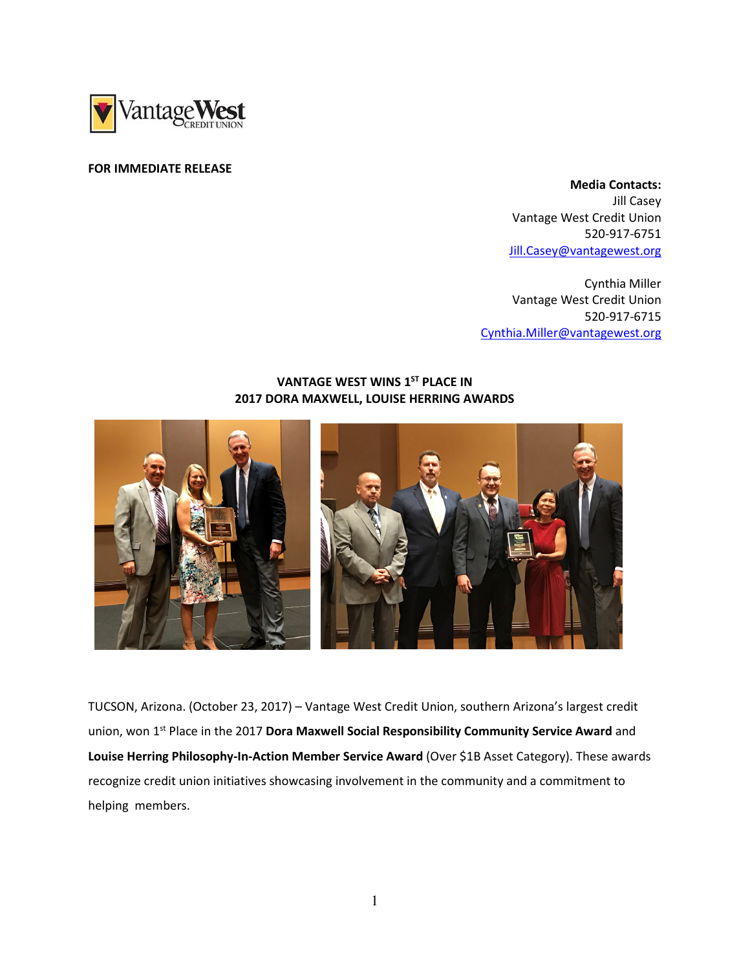

## FOR IMMEDIATE RELEASE

 Media Contacts: Jill Casey Vantage West Credit Union 520-917-6751 Jill.Casey@vantagewest.org

Cynthia Miller Vantage West Credit Union 520-917-6715 Cynthia.Miller@vantagewest.org

## VANTAGE WEST WINS 1<sup>ST</sup> PLACE IN 2017 DORA MAXWELL, LOUISE HERRING AWARDS



TUCSON, Arizona. (October 23, 2017) – Vantage West Credit Union, southern Arizona's largest credit union, won 1<sup>st</sup> Place in the 2017 Dora Maxwell Social Responsibility Community Service Award and Louise Herring Philosophy-In-Action Member Service Award (Over \$1B Asset Category). These awards recognize credit union initiatives showcasing involvement in the community and a commitment to helping members.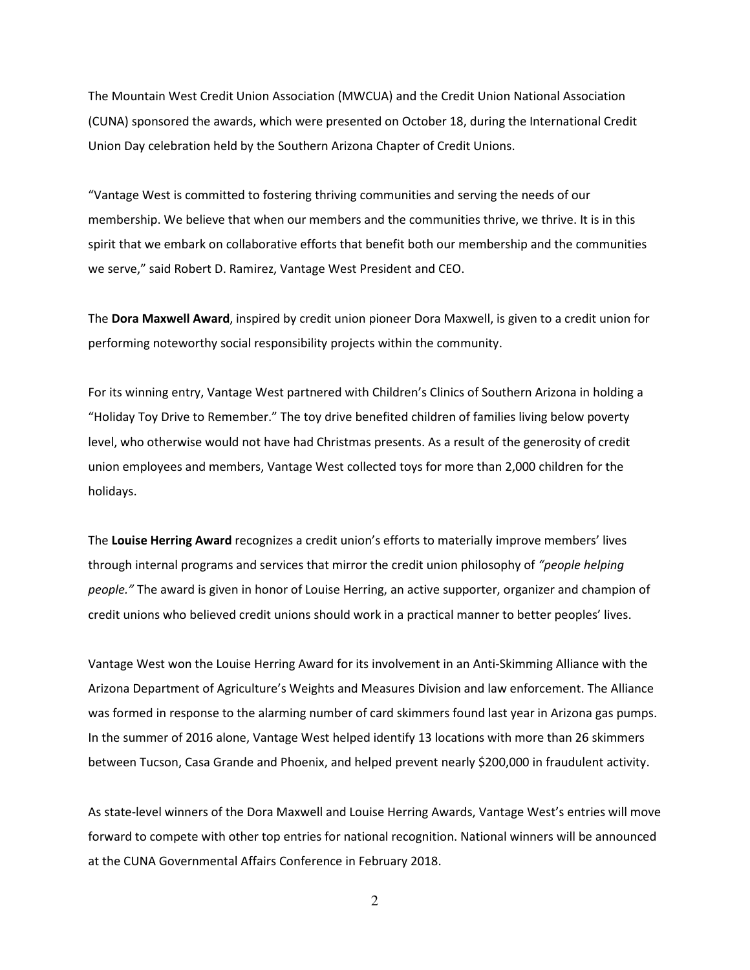The Mountain West Credit Union Association (MWCUA) and the Credit Union National Association (CUNA) sponsored the awards, which were presented on October 18, during the International Credit Union Day celebration held by the Southern Arizona Chapter of Credit Unions.

"Vantage West is committed to fostering thriving communities and serving the needs of our membership. We believe that when our members and the communities thrive, we thrive. It is in this spirit that we embark on collaborative efforts that benefit both our membership and the communities we serve," said Robert D. Ramirez, Vantage West President and CEO.

The Dora Maxwell Award, inspired by credit union pioneer Dora Maxwell, is given to a credit union for performing noteworthy social responsibility projects within the community.

For its winning entry, Vantage West partnered with Children's Clinics of Southern Arizona in holding a "Holiday Toy Drive to Remember." The toy drive benefited children of families living below poverty level, who otherwise would not have had Christmas presents. As a result of the generosity of credit union employees and members, Vantage West collected toys for more than 2,000 children for the holidays.

The Louise Herring Award recognizes a credit union's efforts to materially improve members' lives through internal programs and services that mirror the credit union philosophy of "people helping people." The award is given in honor of Louise Herring, an active supporter, organizer and champion of credit unions who believed credit unions should work in a practical manner to better peoples' lives.

Vantage West won the Louise Herring Award for its involvement in an Anti-Skimming Alliance with the Arizona Department of Agriculture's Weights and Measures Division and law enforcement. The Alliance was formed in response to the alarming number of card skimmers found last year in Arizona gas pumps. In the summer of 2016 alone, Vantage West helped identify 13 locations with more than 26 skimmers between Tucson, Casa Grande and Phoenix, and helped prevent nearly \$200,000 in fraudulent activity.

As state-level winners of the Dora Maxwell and Louise Herring Awards, Vantage West's entries will move forward to compete with other top entries for national recognition. National winners will be announced at the CUNA Governmental Affairs Conference in February 2018.

2